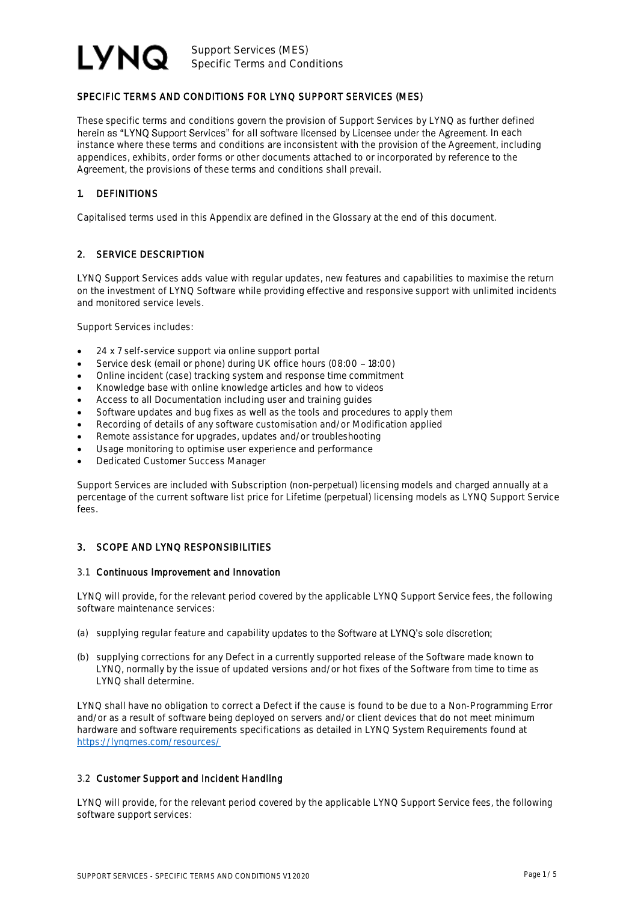

# SPECIFIC TERMS AND CONDITIONS FOR LYNQ SUPPORT SERVICES (MES)

These specific terms and conditions govern the provision of Support Services by LYNQ as further defined herein as "LYNQ Support Services" for all software licensed by Licensee under the Agreement. In each instance where these terms and conditions are inconsistent with the provision of the Agreement, including appendices, exhibits, order forms or other documents attached to or incorporated by reference to the Agreement, the provisions of these terms and conditions shall prevail.

#### 1. DEFINITIONS

Capitalised terms used in this Appendix are defined in the Glossary at the end of this document.

## 2. SERVICE DESCRIPTION

LYNQ Support Services adds value with regular updates, new features and capabilities to maximise the return on the investment of LYNQ Software while providing effective and responsive support with unlimited incidents and monitored service levels.

Support Services includes:

- 24 x 7 self-service support via online support portal
- Service desk (email or phone) during UK office hours (08:00 18:00)
- Online incident (case) tracking system and response time commitment
- Knowledge base with online knowledge articles and how to videos
- Access to all Documentation including user and training guides
- Software updates and bug fixes as well as the tools and procedures to apply them
- Recording of details of any software customisation and/or Modification applied
- Remote assistance for upgrades, updates and/or troubleshooting
- Usage monitoring to optimise user experience and performance
- Dedicated Customer Success Manager

Support Services are included with Subscription (non-perpetual) licensing models and charged annually at a percentage of the current software list price for Lifetime (perpetual) licensing models as LYNQ Support Service fees.

#### 3. SCOPE AND LYNQ RESPONSIBILITIES

#### 3.1 Continuous Improvement and Innovation

LYNQ will provide, for the relevant period covered by the applicable LYNQ Support Service fees, the following software maintenance services:

- (a) supplying regular feature and capability updates to the Software at LYNQ's sole discretion;
- (b) supplying corrections for any Defect in a currently supported release of the Software made known to LYNQ, normally by the issue of updated versions and/or hot fixes of the Software from time to time as LYNQ shall determine.

LYNQ shall have no obligation to correct a Defect if the cause is found to be due to a Non-Programming Error and/or as a result of software being deployed on servers and/or client devices that do not meet minimum hardware and software requirements specifications as detailed in LYNQ System Requirements found at <https://lynqmes.com/resources/>

#### 3.2 Customer Support and Incident Handling

LYNQ will provide, for the relevant period covered by the applicable LYNQ Support Service fees, the following software support services: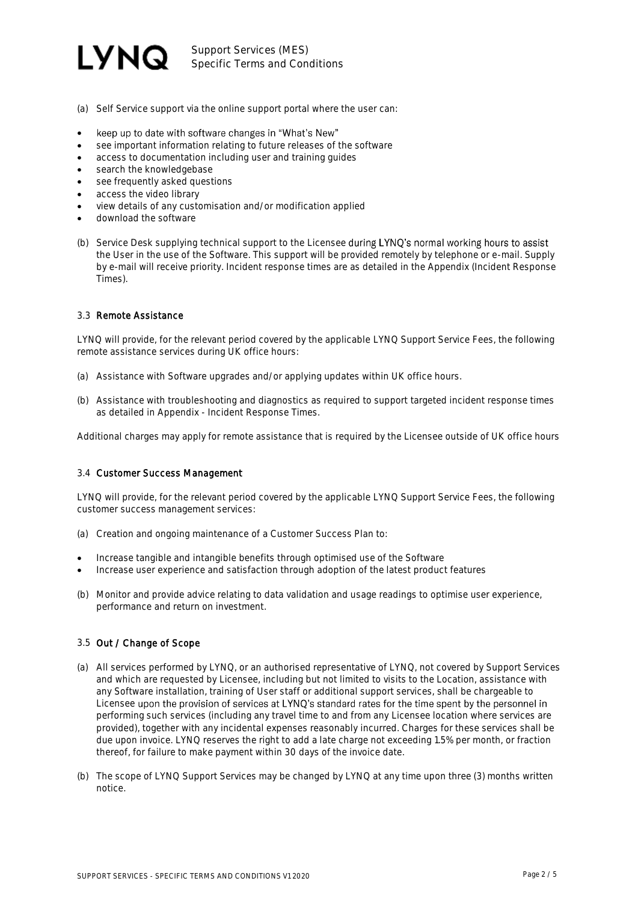

Support Services (MES) Specific Terms and Conditions

- (a) Self Service support via the online support portal where the user can:
- keep up to date with software changes in "What's New" •
- see important information relating to future releases of the software
- access to documentation including user and training guides
- search the knowledgebase
- see frequently asked questions
- access the video library
- view details of any customisation and/or modification applied
- download the software
- (b) Service Desk supplying technical support to the Licensee during LYNQ's normal working hours to assist the User in the use of the Software. This support will be provided remotely by telephone or e-mail. Supply by e-mail will receive priority. Incident response times are as detailed in the Appendix (Incident Response Times).

#### 3.3 Remote Assistance

LYNQ will provide, for the relevant period covered by the applicable LYNQ Support Service Fees, the following remote assistance services during UK office hours:

- (a) Assistance with Software upgrades and/or applying updates within UK office hours.
- (b) Assistance with troubleshooting and diagnostics as required to support targeted incident response times as detailed in Appendix - Incident Response Times.

Additional charges may apply for remote assistance that is required by the Licensee outside of UK office hours

#### 3.4 Customer Success Management

LYNQ will provide, for the relevant period covered by the applicable LYNQ Support Service Fees, the following customer success management services:

- (a) Creation and ongoing maintenance of a Customer Success Plan to:
- Increase tangible and intangible benefits through optimised use of the Software
- Increase user experience and satisfaction through adoption of the latest product features
- (b) Monitor and provide advice relating to data validation and usage readings to optimise user experience, performance and return on investment.

#### 3.5 Out / Change of Scope

- (a) All services performed by LYNQ, or an authorised representative of LYNQ, not covered by Support Services and which are requested by Licensee, including but not limited to visits to the Location, assistance with any Software installation, training of User staff or additional support services, shall be chargeable to Licensee upon the provision of services at LYNO's standard rates for the time spent by the personnel in performing such services (including any travel time to and from any Licensee location where services are provided), together with any incidental expenses reasonably incurred. Charges for these services shall be due upon invoice. LYNQ reserves the right to add a late charge not exceeding 1.5% per month, or fraction thereof, for failure to make payment within 30 days of the invoice date.
- (b) The scope of LYNQ Support Services may be changed by LYNQ at any time upon three (3) months written notice.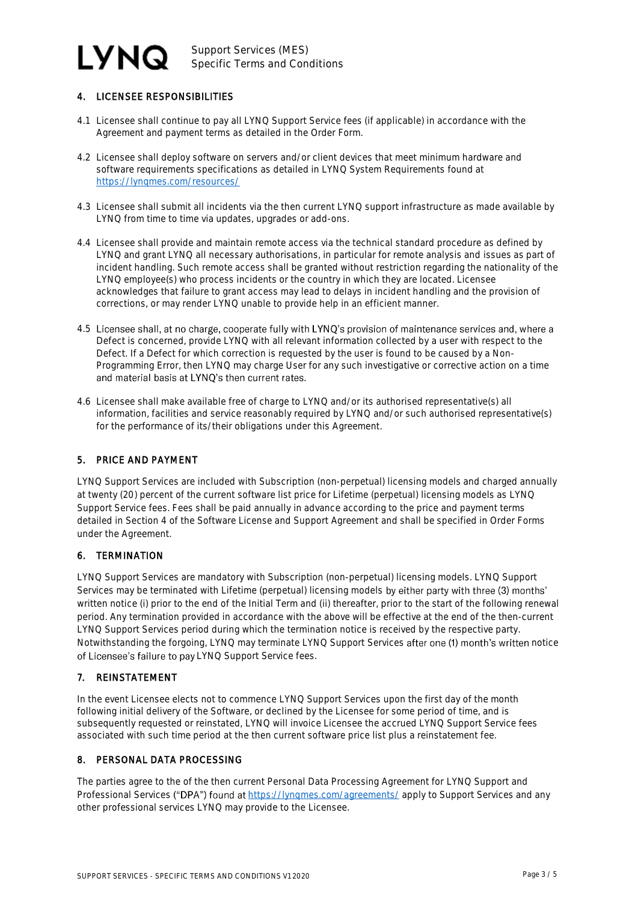#### **LYNQ** Support Services (MES) Specific Terms and Conditions

# 4. LICENSEE RESPONSIBILITIES

- 4.1 Licensee shall continue to pay all LYNQ Support Service fees (if applicable) in accordance with the Agreement and payment terms as detailed in the Order Form.
- 4.2 Licensee shall deploy software on servers and/or client devices that meet minimum hardware and software requirements specifications as detailed in LYNQ System Requirements found at <https://lynqmes.com/resources/>
- 4.3 Licensee shall submit all incidents via the then current LYNQ support infrastructure as made available by LYNQ from time to time via updates, upgrades or add-ons.
- 4.4 Licensee shall provide and maintain remote access via the technical standard procedure as defined by LYNQ and grant LYNQ all necessary authorisations, in particular for remote analysis and issues as part of incident handling. Such remote access shall be granted without restriction regarding the nationality of the LYNQ employee(s) who process incidents or the country in which they are located. Licensee acknowledges that failure to grant access may lead to delays in incident handling and the provision of corrections, or may render LYNQ unable to provide help in an efficient manner.
- 4.5 Licensee shall, at no charge, cooperate fully with LYNQ's provision of maintenance services and, where a Defect is concerned, provide LYNQ with all relevant information collected by a user with respect to the Defect. If a Defect for which correction is requested by the user is found to be caused by a Non-Programming Error, then LYNQ may charge User for any such investigative or corrective action on a time and material basis at LYNQ's then current rates.
- 4.6 Licensee shall make available free of charge to LYNQ and/or its authorised representative(s) all information, facilities and service reasonably required by LYNQ and/or such authorised representative(s) for the performance of its/their obligations under this Agreement.

## 5. PRICE AND PAYMENT

LYNQ Support Services are included with Subscription (non-perpetual) licensing models and charged annually at twenty (20) percent of the current software list price for Lifetime (perpetual) licensing models as LYNQ Support Service fees. Fees shall be paid annually in advance according to the price and payment terms detailed in Section 4 of the Software License and Support Agreement and shall be specified in Order Forms under the Agreement.

## 6. TERMINATION

LYNQ Support Services are mandatory with Subscription (non-perpetual) licensing models. LYNQ Support Services may be terminated with Lifetime (perpetual) licensing models by either party with three (3) months' written notice (i) prior to the end of the Initial Term and (ii) thereafter, prior to the start of the following renewal period. Any termination provided in accordance with the above will be effective at the end of the then-current LYNQ Support Services period during which the termination notice is received by the respective party. Notwithstanding the forgoing, LYNQ may terminate LYNQ Support Services after one (1) month's written notice of Licensee's failure to pay LYNQ Support Service fees.

## 7. REINSTATEMENT

In the event Licensee elects not to commence LYNQ Support Services upon the first day of the month following initial delivery of the Software, or declined by the Licensee for some period of time, and is subsequently requested or reinstated, LYNQ will invoice Licensee the accrued LYNQ Support Service fees associated with such time period at the then current software price list plus a reinstatement fee.

## 8. PERSONAL DATA PROCESSING

The parties agree to the of the then current Personal Data Processing Agreement for LYNQ Support and Professional Services ("DPA") found at https://lyngmes.com/agreements/ apply to Support Services and any other professional services LYNQ may provide to the Licensee.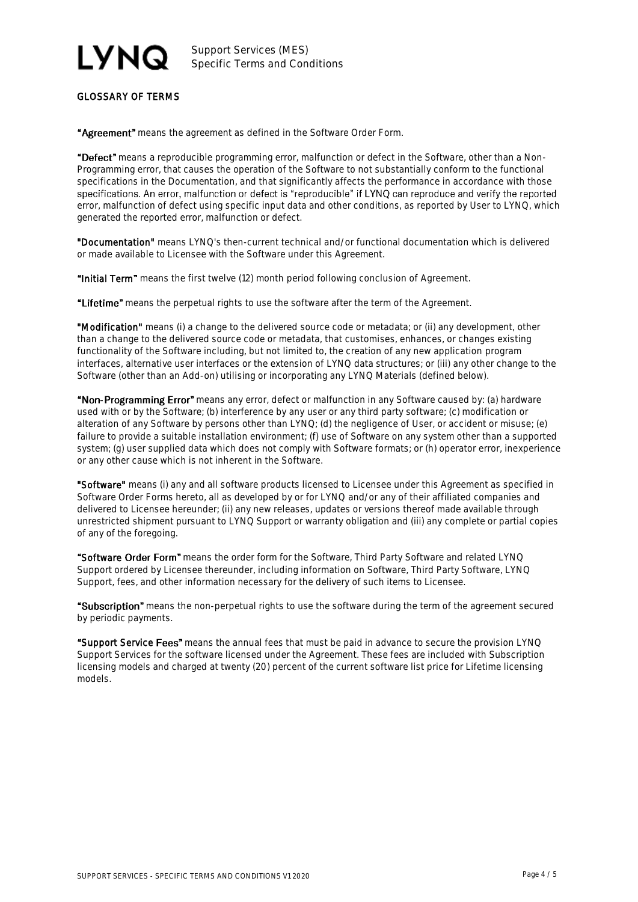# I VNQ

Support Services (MES) Specific Terms and Conditions

# GLOSSARY OF TERMS

"Agreement" means the agreement as defined in the Software Order Form.

"Defect" means a reproducible programming error, malfunction or defect in the Software, other than a Non-Programming error, that causes the operation of the Software to not substantially conform to the functional specifications in the Documentation, and that significantly affects the performance in accordance with those<br>specifications. An error, malfunction or defect is "reproducible" if LYNQ can reproduce and verify the reported error, malfunction of defect using specific input data and other conditions, as reported by User to LYNQ, which generated the reported error, malfunction or defect.

"Documentation" means LYNQ's then-current technical and/or functional documentation which is delivered or made available to Licensee with the Software under this Agreement.

"Initial Term" means the first twelve (12) month period following conclusion of Agreement.

"Lifetime" means the perpetual rights to use the software after the term of the Agreement.

"Modification" means (i) a change to the delivered source code or metadata; or (ii) any development, other than a change to the delivered source code or metadata, that customises, enhances, or changes existing functionality of the Software including, but not limited to, the creation of any new application program interfaces, alternative user interfaces or the extension of LYNQ data structures; or (iii) any other change to the Software (other than an Add-on) utilising or incorporating any LYNQ Materials (defined below).

"Non-Programming Error" means any error, defect or malfunction in any Software caused by: (a) hardware used with or by the Software; (b) interference by any user or any third party software; (c) modification or alteration of any Software by persons other than LYNQ; (d) the negligence of User, or accident or misuse; (e) failure to provide a suitable installation environment; (f) use of Software on any system other than a supported system; (g) user supplied data which does not comply with Software formats; or (h) operator error, inexperience or any other cause which is not inherent in the Software.

"Software" means (i) any and all software products licensed to Licensee under this Agreement as specified in Software Order Forms hereto, all as developed by or for LYNQ and/or any of their affiliated companies and delivered to Licensee hereunder; (ii) any new releases, updates or versions thereof made available through unrestricted shipment pursuant to LYNQ Support or warranty obligation and (iii) any complete or partial copies of any of the foregoing.

"Software Order Form" means the order form for the Software, Third Party Software and related LYNQ Support ordered by Licensee thereunder, including information on Software, Third Party Software, LYNQ Support, fees, and other information necessary for the delivery of such items to Licensee.

"Subscription" means the non-perpetual rights to use the software during the term of the agreement secured by periodic payments.

"Support Service Fees" means the annual fees that must be paid in advance to secure the provision LYNQ Support Services for the software licensed under the Agreement. These fees are included with Subscription licensing models and charged at twenty (20) percent of the current software list price for Lifetime licensing models.